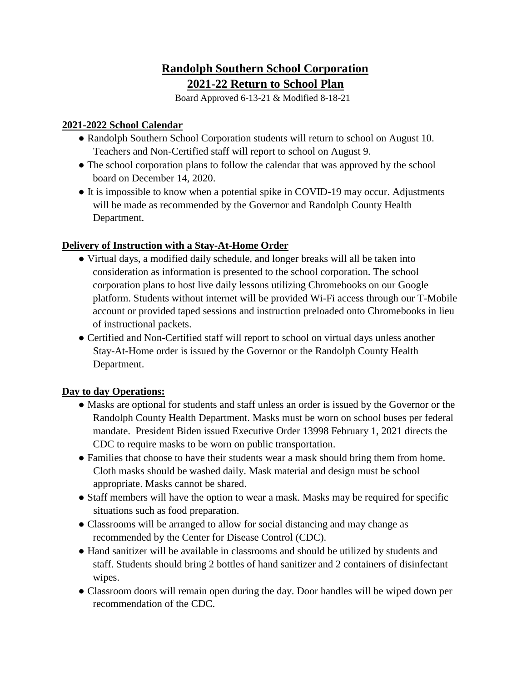# **Randolph Southern School Corporation 2021-22 Return to School Plan**

Board Approved 6-13-21 & Modified 8-18-21

### **2021-2022 School Calendar**

- Randolph Southern School Corporation students will return to school on August 10. Teachers and Non-Certified staff will report to school on August 9.
- The school corporation plans to follow the calendar that was approved by the school board on December 14, 2020.
- It is impossible to know when a potential spike in COVID-19 may occur. Adjustments will be made as recommended by the Governor and Randolph County Health Department.

# **Delivery of Instruction with a Stay-At-Home Order**

- Virtual days, a modified daily schedule, and longer breaks will all be taken into consideration as information is presented to the school corporation. The school corporation plans to host live daily lessons utilizing Chromebooks on our Google platform. Students without internet will be provided Wi-Fi access through our T-Mobile account or provided taped sessions and instruction preloaded onto Chromebooks in lieu of instructional packets.
- Certified and Non-Certified staff will report to school on virtual days unless another Stay-At-Home order is issued by the Governor or the Randolph County Health Department.

# **Day to day Operations:**

- Masks are optional for students and staff unless an order is issued by the Governor or the Randolph County Health Department. Masks must be worn on school buses per federal mandate. President Biden issued Executive Order 13998 February 1, 2021 directs the CDC to require masks to be worn on public transportation.
- Families that choose to have their students wear a mask should bring them from home. Cloth masks should be washed daily. Mask material and design must be school appropriate. Masks cannot be shared.
- Staff members will have the option to wear a mask. Masks may be required for specific situations such as food preparation.
- Classrooms will be arranged to allow for social distancing and may change as recommended by the Center for Disease Control (CDC).
- Hand sanitizer will be available in classrooms and should be utilized by students and staff. Students should bring 2 bottles of hand sanitizer and 2 containers of disinfectant wipes.
- Classroom doors will remain open during the day. Door handles will be wiped down per recommendation of the CDC.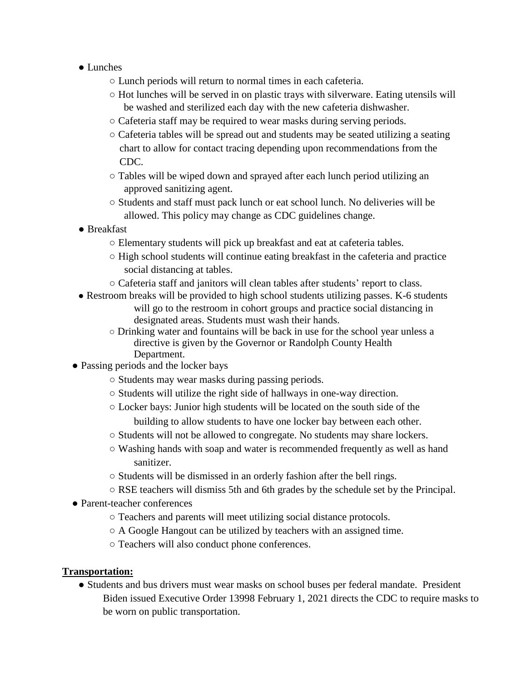- Lunches
	- Lunch periods will return to normal times in each cafeteria.
	- Hot lunches will be served in on plastic trays with silverware. Eating utensils will be washed and sterilized each day with the new cafeteria dishwasher.
	- Cafeteria staff may be required to wear masks during serving periods.
	- Cafeteria tables will be spread out and students may be seated utilizing a seating chart to allow for contact tracing depending upon recommendations from the CDC.
	- Tables will be wiped down and sprayed after each lunch period utilizing an approved sanitizing agent.
	- Students and staff must pack lunch or eat school lunch. No deliveries will be allowed. This policy may change as CDC guidelines change.
- Breakfast
	- Elementary students will pick up breakfast and eat at cafeteria tables.
	- $\circ$  High school students will continue eating breakfast in the cafeteria and practice social distancing at tables.
	- Cafeteria staff and janitors will clean tables after students' report to class.
- Restroom breaks will be provided to high school students utilizing passes. K-6 students will go to the restroom in cohort groups and practice social distancing in designated areas. Students must wash their hands.
	- Drinking water and fountains will be back in use for the school year unless a directive is given by the Governor or Randolph County Health Department.
- Passing periods and the locker bays
	- Students may wear masks during passing periods.
	- Students will utilize the right side of hallways in one-way direction.
	- Locker bays: Junior high students will be located on the south side of the building to allow students to have one locker bay between each other.
	- Students will not be allowed to congregate. No students may share lockers.
	- Washing hands with soap and water is recommended frequently as well as hand sanitizer.
	- Students will be dismissed in an orderly fashion after the bell rings.
	- RSE teachers will dismiss 5th and 6th grades by the schedule set by the Principal.
- Parent-teacher conferences
	- Teachers and parents will meet utilizing social distance protocols.
	- A Google Hangout can be utilized by teachers with an assigned time.
	- Teachers will also conduct phone conferences.

#### **Transportation:**

● Students and bus drivers must wear masks on school buses per federal mandate. President Biden issued Executive Order 13998 February 1, 2021 directs the CDC to require masks to be worn on public transportation.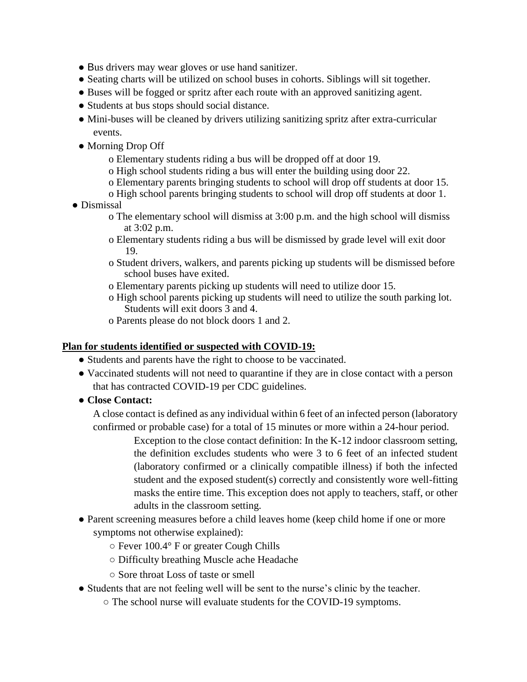- Bus drivers may wear gloves or use hand sanitizer.
- Seating charts will be utilized on school buses in cohorts. Siblings will sit together.
- Buses will be fogged or spritz after each route with an approved sanitizing agent.
- Students at bus stops should social distance.
- Mini-buses will be cleaned by drivers utilizing sanitizing spritz after extra-curricular events.
- Morning Drop Off
	- o Elementary students riding a bus will be dropped off at door 19.
	- o High school students riding a bus will enter the building using door 22.
	- o Elementary parents bringing students to school will drop off students at door 15.
	- o High school parents bringing students to school will drop off students at door 1.
- Dismissal
	- o The elementary school will dismiss at 3:00 p.m. and the high school will dismiss at 3:02 p.m.
	- o Elementary students riding a bus will be dismissed by grade level will exit door 19.
	- o Student drivers, walkers, and parents picking up students will be dismissed before school buses have exited.
	- o Elementary parents picking up students will need to utilize door 15.
	- o High school parents picking up students will need to utilize the south parking lot. Students will exit doors 3 and 4.
	- o Parents please do not block doors 1 and 2.

#### **Plan for students identified or suspected with COVID-19:**

- Students and parents have the right to choose to be vaccinated.
- Vaccinated students will not need to quarantine if they are in close contact with a person that has contracted COVID-19 per CDC guidelines.
- **Close Contact:**

A close contact is defined as any individual within 6 feet of an infected person (laboratory confirmed or probable case) for a total of 15 minutes or more within a 24-hour period.

> Exception to the close contact definition: In the K-12 indoor classroom setting, the definition excludes students who were 3 to 6 feet of an infected student (laboratory confirmed or a clinically compatible illness) if both the infected student and the exposed student(s) correctly and consistently wore well-fitting masks the entire time. This exception does not apply to teachers, staff, or other adults in the classroom setting.

- Parent screening measures before a child leaves home (keep child home if one or more symptoms not otherwise explained):
	- Fever 100.4° F or greater Cough Chills
	- Difficulty breathing Muscle ache Headache
	- Sore throat Loss of taste or smell
- Students that are not feeling well will be sent to the nurse's clinic by the teacher.
	- The school nurse will evaluate students for the COVID-19 symptoms.